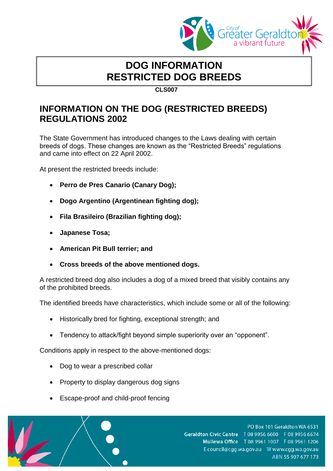

## **DOG INFORMATION RESTRICTED DOG BREEDS**

**CLS007**

## **INFORMATION ON THE DOG (RESTRICTED BREEDS) REGULATIONS 2002**

The State Government has introduced changes to the Laws dealing with certain breeds of dogs. These changes are known as the "Restricted Breeds" regulations and came into effect on 22 April 2002.

At present the restricted breeds include:

- **Perro de Pres Canario (Canary Dog);**
- **Dogo Argentino (Argentinean fighting dog);**
- **Fila Brasileiro (Brazilian fighting dog);**
- **Japanese Tosa;**
- **American Pit Bull terrier; and**
- **Cross breeds of the above mentioned dogs.**

A restricted breed dog also includes a dog of a mixed breed that visibly contains any of the prohibited breeds.

The identified breeds have characteristics, which include some or all of the following:

- Historically bred for fighting, exceptional strength; and
- Tendency to attack/fight beyond simple superiority over an "opponent".

Conditions apply in respect to the above-mentioned dogs:

- Dog to wear a prescribed collar
- Property to display dangerous dog signs
- Escape-proof and child-proof fencing



PO Box 101 Geraldton WA 6531 Geraldton Civic Centre T 08 9956 6600 F 08 9956 6674 Mullewa Office T 08 9961 1007 F 08 9961 1206 ABN 55 907 677 173